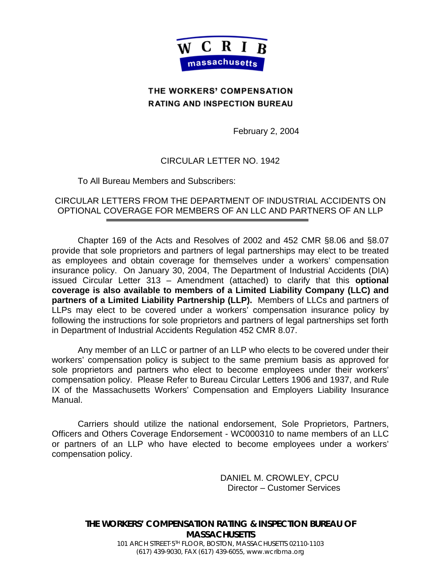

## **THE WORKERS' COMPENSATION RATING AND INSPECTION BUREAU**

February 2, 2004

## CIRCULAR LETTER NO. 1942

To All Bureau Members and Subscribers:

CIRCULAR LETTERS FROM THE DEPARTMENT OF INDUSTRIAL ACCIDENTS ON OPTIONAL COVERAGE FOR MEMBERS OF AN LLC AND PARTNERS OF AN LLP

Chapter 169 of the Acts and Resolves of 2002 and 452 CMR §8.06 and §8.07 provide that sole proprietors and partners of legal partnerships may elect to be treated as employees and obtain coverage for themselves under a workers' compensation insurance policy. On January 30, 2004, The Department of Industrial Accidents (DIA) issued Circular Letter 313 – Amendment (attached) to clarify that this **optional coverage is also available to members of a Limited Liability Company (LLC) and partners of a Limited Liability Partnership (LLP).** Members of LLCs and partners of LLPs may elect to be covered under a workers' compensation insurance policy by following the instructions for sole proprietors and partners of legal partnerships set forth in Department of Industrial Accidents Regulation 452 CMR 8.07.

Any member of an LLC or partner of an LLP who elects to be covered under their workers' compensation policy is subject to the same premium basis as approved for sole proprietors and partners who elect to become employees under their workers' compensation policy. Please Refer to Bureau Circular Letters 1906 and 1937, and Rule IX of the Massachusetts Workers' Compensation and Employers Liability Insurance Manual.

Carriers should utilize the national endorsement, Sole Proprietors, Partners, Officers and Others Coverage Endorsement - WC000310 to name members of an LLC or partners of an LLP who have elected to become employees under a workers' compensation policy.

> DANIEL M. CROWLEY, CPCU Director – Customer Services

**THE WORKERS' COMPENSATION RATING & INSPECTION BUREAU OF MASSACHUSETTS**

> 101 ARCH STREET·5TH FLOOR, BOSTON, MASSACHUSETTS 02110-1103 (617) 439-9030, FAX (617) 439-6055, www.wcribma.org